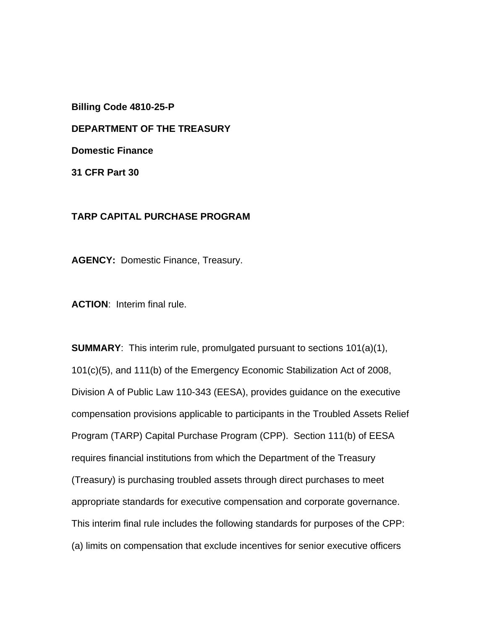**Billing Code 4810-25-P** 

**DEPARTMENT OF THE TREASURY** 

**Domestic Finance** 

**31 CFR Part 30**

#### **TARP CAPITAL PURCHASE PROGRAM**

**AGENCY:** Domestic Finance, Treasury.

**ACTION**: Interim final rule.

**SUMMARY**: This interim rule, promulgated pursuant to sections 101(a)(1), 101(c)(5), and 111(b) of the Emergency Economic Stabilization Act of 2008, Division A of Public Law 110-343 (EESA), provides guidance on the executive compensation provisions applicable to participants in the Troubled Assets Relief Program (TARP) Capital Purchase Program (CPP). Section 111(b) of EESA requires financial institutions from which the Department of the Treasury (Treasury) is purchasing troubled assets through direct purchases to meet appropriate standards for executive compensation and corporate governance. This interim final rule includes the following standards for purposes of the CPP: (a) limits on compensation that exclude incentives for senior executive officers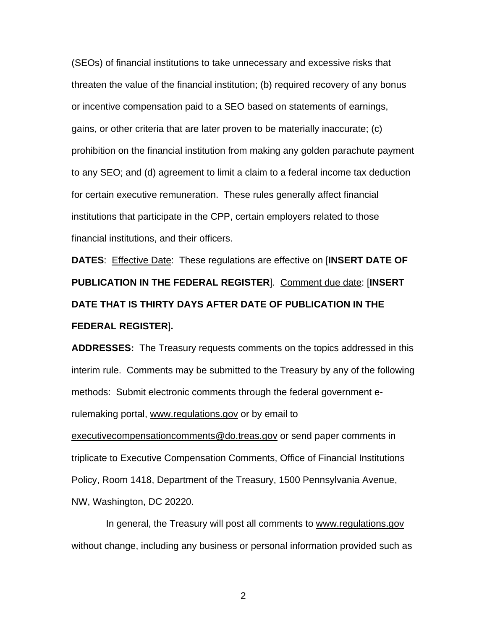(SEOs) of financial institutions to take unnecessary and excessive risks that threaten the value of the financial institution; (b) required recovery of any bonus or incentive compensation paid to a SEO based on statements of earnings, gains, or other criteria that are later proven to be materially inaccurate; (c) prohibition on the financial institution from making any golden parachute payment to any SEO; and (d) agreement to limit a claim to a federal income tax deduction for certain executive remuneration. These rules generally affect financial institutions that participate in the CPP, certain employers related to those financial institutions, and their officers.

**DATES**: Effective Date: These regulations are effective on [**INSERT DATE OF PUBLICATION IN THE FEDERAL REGISTER**]. Comment due date: [**INSERT DATE THAT IS THIRTY DAYS AFTER DATE OF PUBLICATION IN THE FEDERAL REGISTER**]**.**

**ADDRESSES:** The Treasury requests comments on the topics addressed in this interim rule. Comments may be submitted to the Treasury by any of the following methods: Submit electronic comments through the federal government erulemaking portal, www.regulations.gov or by email to executivecompensationcomments@do.treas.gov or send paper comments in triplicate to Executive Compensation Comments, Office of Financial Institutions Policy, Room 1418, Department of the Treasury, 1500 Pennsylvania Avenue,

NW, Washington, DC 20220.

 In general, the Treasury will post all comments to www.regulations.gov without change, including any business or personal information provided such as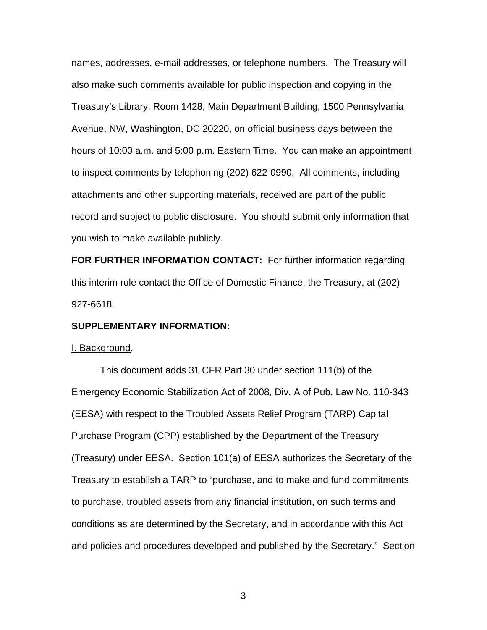names, addresses, e-mail addresses, or telephone numbers. The Treasury will also make such comments available for public inspection and copying in the Treasury's Library, Room 1428, Main Department Building, 1500 Pennsylvania Avenue, NW, Washington, DC 20220, on official business days between the hours of 10:00 a.m. and 5:00 p.m. Eastern Time. You can make an appointment to inspect comments by telephoning (202) 622-0990. All comments, including attachments and other supporting materials, received are part of the public record and subject to public disclosure. You should submit only information that you wish to make available publicly.

**FOR FURTHER INFORMATION CONTACT:** For further information regarding this interim rule contact the Office of Domestic Finance, the Treasury, at (202) 927-6618.

#### **SUPPLEMENTARY INFORMATION:**

#### I. Background.

This document adds 31 CFR Part 30 under section 111(b) of the Emergency Economic Stabilization Act of 2008, Div. A of Pub. Law No. 110-343 (EESA) with respect to the Troubled Assets Relief Program (TARP) Capital Purchase Program (CPP) established by the Department of the Treasury (Treasury) under EESA. Section 101(a) of EESA authorizes the Secretary of the Treasury to establish a TARP to "purchase, and to make and fund commitments to purchase, troubled assets from any financial institution, on such terms and conditions as are determined by the Secretary, and in accordance with this Act and policies and procedures developed and published by the Secretary." Section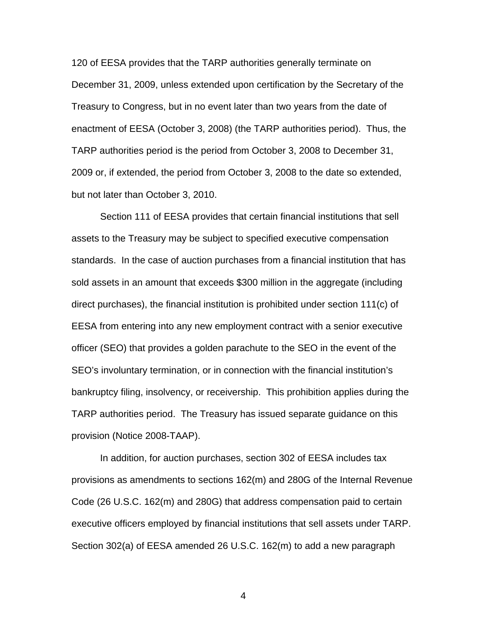120 of EESA provides that the TARP authorities generally terminate on December 31, 2009, unless extended upon certification by the Secretary of the Treasury to Congress, but in no event later than two years from the date of enactment of EESA (October 3, 2008) (the TARP authorities period). Thus, the TARP authorities period is the period from October 3, 2008 to December 31, 2009 or, if extended, the period from October 3, 2008 to the date so extended, but not later than October 3, 2010.

Section 111 of EESA provides that certain financial institutions that sell assets to the Treasury may be subject to specified executive compensation standards. In the case of auction purchases from a financial institution that has sold assets in an amount that exceeds \$300 million in the aggregate (including direct purchases), the financial institution is prohibited under section 111(c) of EESA from entering into any new employment contract with a senior executive officer (SEO) that provides a golden parachute to the SEO in the event of the SEO's involuntary termination, or in connection with the financial institution's bankruptcy filing, insolvency, or receivership. This prohibition applies during the TARP authorities period. The Treasury has issued separate guidance on this provision (Notice 2008-TAAP).

In addition, for auction purchases, section 302 of EESA includes tax provisions as amendments to sections 162(m) and 280G of the Internal Revenue Code (26 U.S.C. 162(m) and 280G) that address compensation paid to certain executive officers employed by financial institutions that sell assets under TARP. Section 302(a) of EESA amended 26 U.S.C. 162(m) to add a new paragraph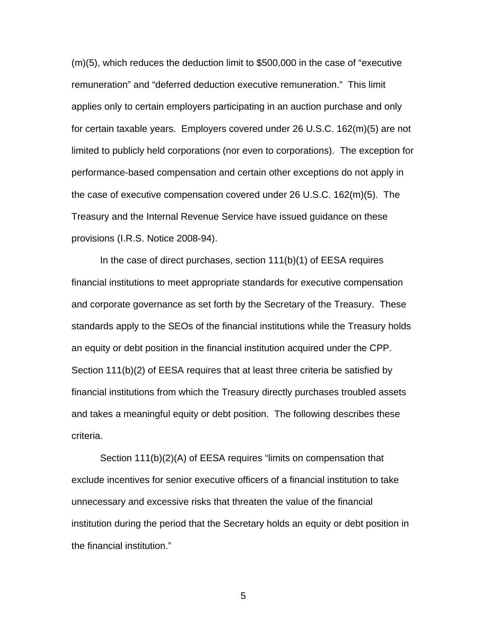(m)(5), which reduces the deduction limit to \$500,000 in the case of "executive remuneration" and "deferred deduction executive remuneration." This limit applies only to certain employers participating in an auction purchase and only for certain taxable years. Employers covered under 26 U.S.C. 162(m)(5) are not limited to publicly held corporations (nor even to corporations). The exception for performance-based compensation and certain other exceptions do not apply in the case of executive compensation covered under 26 U.S.C. 162(m)(5). The Treasury and the Internal Revenue Service have issued guidance on these provisions (I.R.S. Notice 2008-94).

In the case of direct purchases, section 111(b)(1) of EESA requires financial institutions to meet appropriate standards for executive compensation and corporate governance as set forth by the Secretary of the Treasury. These standards apply to the SEOs of the financial institutions while the Treasury holds an equity or debt position in the financial institution acquired under the CPP. Section 111(b)(2) of EESA requires that at least three criteria be satisfied by financial institutions from which the Treasury directly purchases troubled assets and takes a meaningful equity or debt position. The following describes these criteria.

Section 111(b)(2)(A) of EESA requires "limits on compensation that exclude incentives for senior executive officers of a financial institution to take unnecessary and excessive risks that threaten the value of the financial institution during the period that the Secretary holds an equity or debt position in the financial institution."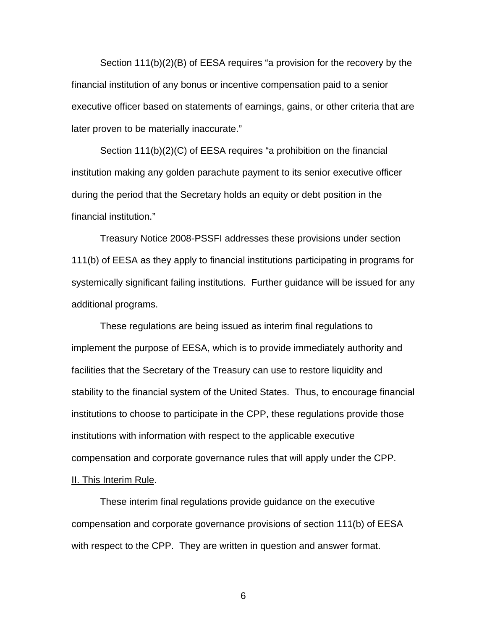Section 111(b)(2)(B) of EESA requires "a provision for the recovery by the financial institution of any bonus or incentive compensation paid to a senior executive officer based on statements of earnings, gains, or other criteria that are later proven to be materially inaccurate."

 Section 111(b)(2)(C) of EESA requires "a prohibition on the financial institution making any golden parachute payment to its senior executive officer during the period that the Secretary holds an equity or debt position in the financial institution."

Treasury Notice 2008-PSSFI addresses these provisions under section 111(b) of EESA as they apply to financial institutions participating in programs for systemically significant failing institutions. Further guidance will be issued for any additional programs.

These regulations are being issued as interim final regulations to implement the purpose of EESA, which is to provide immediately authority and facilities that the Secretary of the Treasury can use to restore liquidity and stability to the financial system of the United States. Thus, to encourage financial institutions to choose to participate in the CPP, these regulations provide those institutions with information with respect to the applicable executive compensation and corporate governance rules that will apply under the CPP. II. This Interim Rule.

These interim final regulations provide guidance on the executive compensation and corporate governance provisions of section 111(b) of EESA with respect to the CPP. They are written in question and answer format.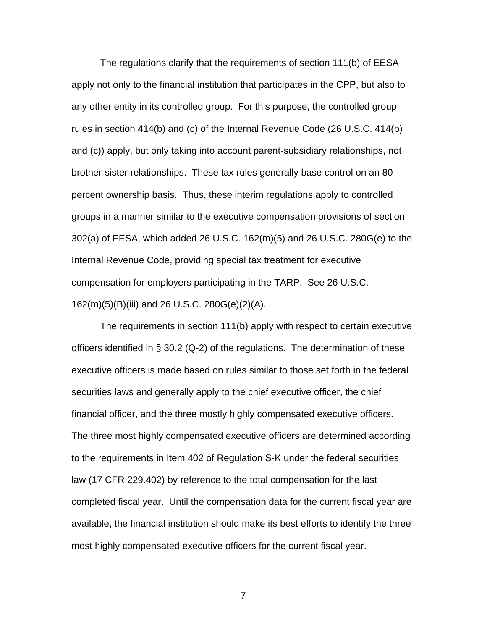The regulations clarify that the requirements of section 111(b) of EESA apply not only to the financial institution that participates in the CPP, but also to any other entity in its controlled group. For this purpose, the controlled group rules in section 414(b) and (c) of the Internal Revenue Code (26 U.S.C. 414(b) and (c)) apply, but only taking into account parent-subsidiary relationships, not brother-sister relationships. These tax rules generally base control on an 80 percent ownership basis. Thus, these interim regulations apply to controlled groups in a manner similar to the executive compensation provisions of section 302(a) of EESA, which added 26 U.S.C. 162(m)(5) and 26 U.S.C. 280G(e) to the Internal Revenue Code, providing special tax treatment for executive compensation for employers participating in the TARP. See 26 U.S.C. 162(m)(5)(B)(iii) and 26 U.S.C. 280G(e)(2)(A).

 The requirements in section 111(b) apply with respect to certain executive officers identified in § 30.2 (Q-2) of the regulations. The determination of these executive officers is made based on rules similar to those set forth in the federal securities laws and generally apply to the chief executive officer, the chief financial officer, and the three mostly highly compensated executive officers. The three most highly compensated executive officers are determined according to the requirements in Item 402 of Regulation S-K under the federal securities law (17 CFR 229.402) by reference to the total compensation for the last completed fiscal year. Until the compensation data for the current fiscal year are available, the financial institution should make its best efforts to identify the three most highly compensated executive officers for the current fiscal year.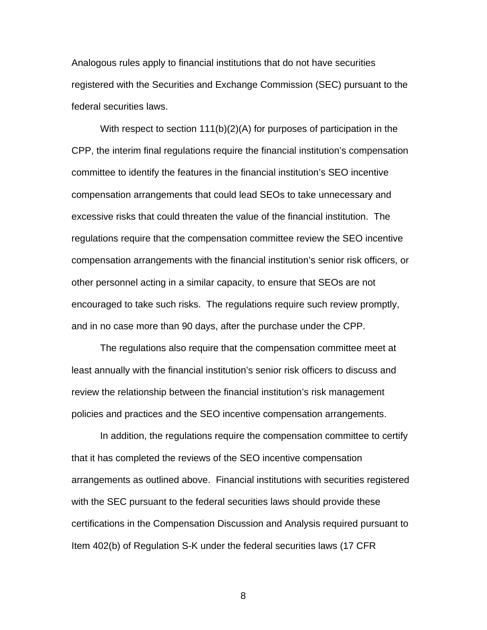Analogous rules apply to financial institutions that do not have securities registered with the Securities and Exchange Commission (SEC) pursuant to the federal securities laws.

 With respect to section 111(b)(2)(A) for purposes of participation in the CPP, the interim final regulations require the financial institution's compensation committee to identify the features in the financial institution's SEO incentive compensation arrangements that could lead SEOs to take unnecessary and excessive risks that could threaten the value of the financial institution. The regulations require that the compensation committee review the SEO incentive compensation arrangements with the financial institution's senior risk officers, or other personnel acting in a similar capacity, to ensure that SEOs are not encouraged to take such risks. The regulations require such review promptly, and in no case more than 90 days, after the purchase under the CPP.

The regulations also require that the compensation committee meet at least annually with the financial institution's senior risk officers to discuss and review the relationship between the financial institution's risk management policies and practices and the SEO incentive compensation arrangements.

In addition, the regulations require the compensation committee to certify that it has completed the reviews of the SEO incentive compensation arrangements as outlined above. Financial institutions with securities registered with the SEC pursuant to the federal securities laws should provide these certifications in the Compensation Discussion and Analysis required pursuant to Item 402(b) of Regulation S-K under the federal securities laws (17 CFR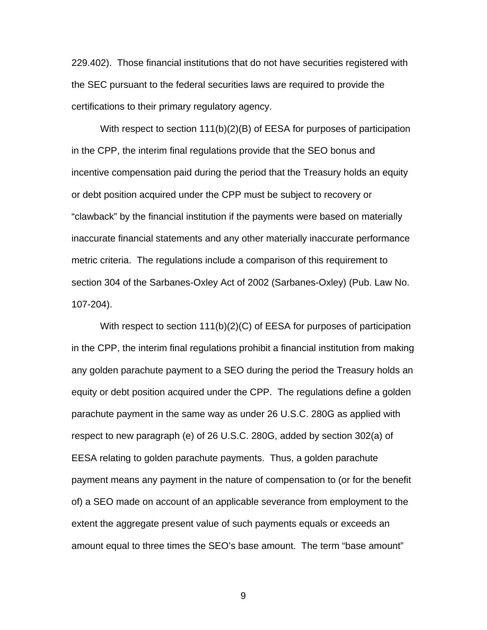229.402). Those financial institutions that do not have securities registered with the SEC pursuant to the federal securities laws are required to provide the certifications to their primary regulatory agency.

 With respect to section 111(b)(2)(B) of EESA for purposes of participation in the CPP, the interim final regulations provide that the SEO bonus and incentive compensation paid during the period that the Treasury holds an equity or debt position acquired under the CPP must be subject to recovery or "clawback" by the financial institution if the payments were based on materially inaccurate financial statements and any other materially inaccurate performance metric criteria. The regulations include a comparison of this requirement to section 304 of the Sarbanes-Oxley Act of 2002 (Sarbanes-Oxley) (Pub. Law No. 107-204).

With respect to section 111(b)(2)(C) of EESA for purposes of participation in the CPP, the interim final regulations prohibit a financial institution from making any golden parachute payment to a SEO during the period the Treasury holds an equity or debt position acquired under the CPP. The regulations define a golden parachute payment in the same way as under 26 U.S.C. 280G as applied with respect to new paragraph (e) of 26 U.S.C. 280G, added by section 302(a) of EESA relating to golden parachute payments. Thus, a golden parachute payment means any payment in the nature of compensation to (or for the benefit of) a SEO made on account of an applicable severance from employment to the extent the aggregate present value of such payments equals or exceeds an amount equal to three times the SEO's base amount. The term "base amount"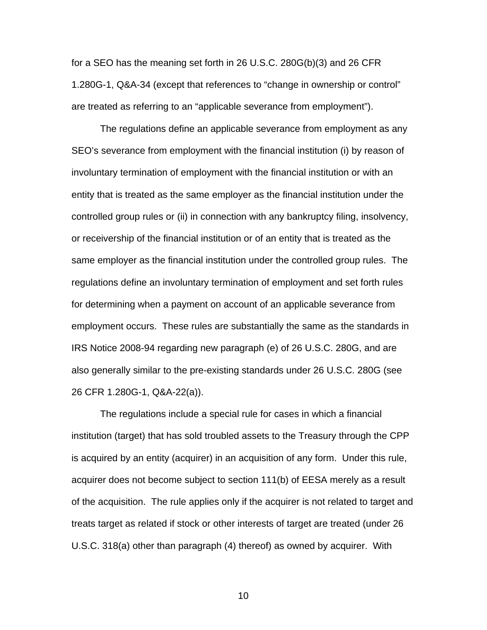for a SEO has the meaning set forth in 26 U.S.C. 280G(b)(3) and 26 CFR 1.280G-1, Q&A-34 (except that references to "change in ownership or control" are treated as referring to an "applicable severance from employment").

 The regulations define an applicable severance from employment as any SEO's severance from employment with the financial institution (i) by reason of involuntary termination of employment with the financial institution or with an entity that is treated as the same employer as the financial institution under the controlled group rules or (ii) in connection with any bankruptcy filing, insolvency, or receivership of the financial institution or of an entity that is treated as the same employer as the financial institution under the controlled group rules. The regulations define an involuntary termination of employment and set forth rules for determining when a payment on account of an applicable severance from employment occurs. These rules are substantially the same as the standards in IRS Notice 2008-94 regarding new paragraph (e) of 26 U.S.C. 280G, and are also generally similar to the pre-existing standards under 26 U.S.C. 280G (see 26 CFR 1.280G-1, Q&A-22(a)).

 The regulations include a special rule for cases in which a financial institution (target) that has sold troubled assets to the Treasury through the CPP is acquired by an entity (acquirer) in an acquisition of any form. Under this rule, acquirer does not become subject to section 111(b) of EESA merely as a result of the acquisition. The rule applies only if the acquirer is not related to target and treats target as related if stock or other interests of target are treated (under 26 U.S.C. 318(a) other than paragraph (4) thereof) as owned by acquirer. With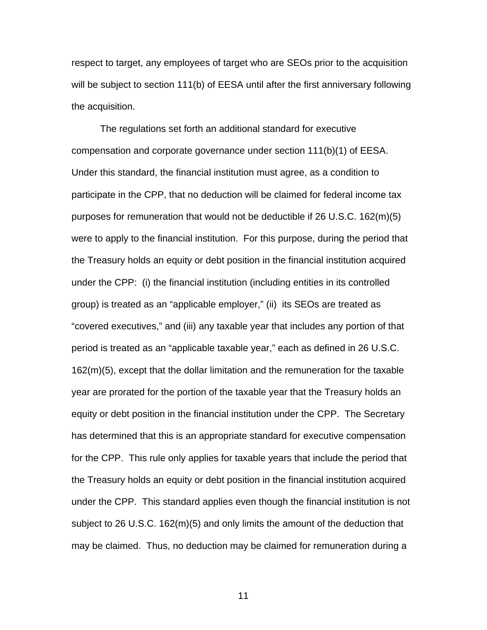respect to target, any employees of target who are SEOs prior to the acquisition will be subject to section 111(b) of EESA until after the first anniversary following the acquisition.

The regulations set forth an additional standard for executive compensation and corporate governance under section 111(b)(1) of EESA. Under this standard, the financial institution must agree, as a condition to participate in the CPP, that no deduction will be claimed for federal income tax purposes for remuneration that would not be deductible if 26 U.S.C. 162(m)(5) were to apply to the financial institution. For this purpose, during the period that the Treasury holds an equity or debt position in the financial institution acquired under the CPP: (i) the financial institution (including entities in its controlled group) is treated as an "applicable employer," (ii) its SEOs are treated as "covered executives," and (iii) any taxable year that includes any portion of that period is treated as an "applicable taxable year," each as defined in 26 U.S.C. 162(m)(5), except that the dollar limitation and the remuneration for the taxable year are prorated for the portion of the taxable year that the Treasury holds an equity or debt position in the financial institution under the CPP. The Secretary has determined that this is an appropriate standard for executive compensation for the CPP. This rule only applies for taxable years that include the period that the Treasury holds an equity or debt position in the financial institution acquired under the CPP. This standard applies even though the financial institution is not subject to 26 U.S.C. 162(m)(5) and only limits the amount of the deduction that may be claimed. Thus, no deduction may be claimed for remuneration during a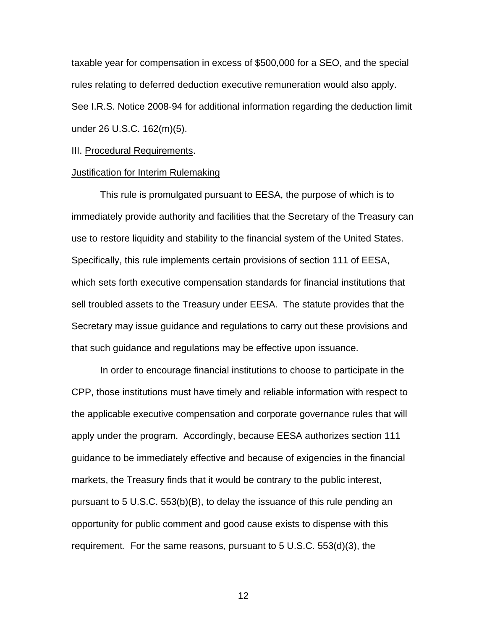taxable year for compensation in excess of \$500,000 for a SEO, and the special rules relating to deferred deduction executive remuneration would also apply. See I.R.S. Notice 2008-94 for additional information regarding the deduction limit under 26 U.S.C. 162(m)(5).

#### III. Procedural Requirements.

#### Justification for Interim Rulemaking

 This rule is promulgated pursuant to EESA, the purpose of which is to immediately provide authority and facilities that the Secretary of the Treasury can use to restore liquidity and stability to the financial system of the United States. Specifically, this rule implements certain provisions of section 111 of EESA, which sets forth executive compensation standards for financial institutions that sell troubled assets to the Treasury under EESA. The statute provides that the Secretary may issue guidance and regulations to carry out these provisions and that such guidance and regulations may be effective upon issuance.

In order to encourage financial institutions to choose to participate in the CPP, those institutions must have timely and reliable information with respect to the applicable executive compensation and corporate governance rules that will apply under the program. Accordingly, because EESA authorizes section 111 guidance to be immediately effective and because of exigencies in the financial markets, the Treasury finds that it would be contrary to the public interest, pursuant to 5 U.S.C. 553(b)(B), to delay the issuance of this rule pending an opportunity for public comment and good cause exists to dispense with this requirement. For the same reasons, pursuant to 5 U.S.C. 553(d)(3), the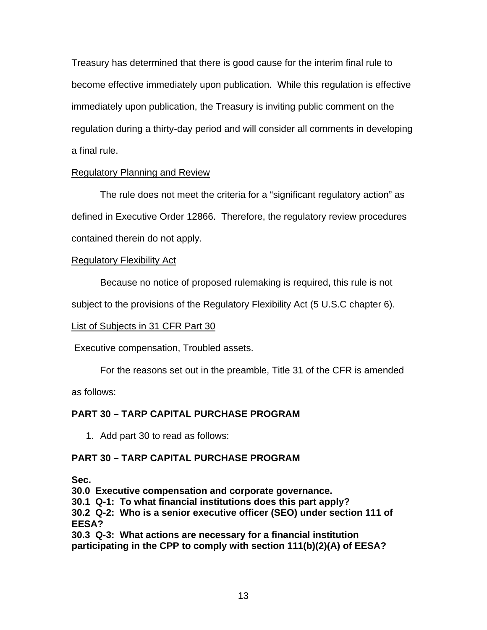Treasury has determined that there is good cause for the interim final rule to become effective immediately upon publication. While this regulation is effective immediately upon publication, the Treasury is inviting public comment on the regulation during a thirty-day period and will consider all comments in developing a final rule.

### Regulatory Planning and Review

 The rule does not meet the criteria for a "significant regulatory action" as defined in Executive Order 12866. Therefore, the regulatory review procedures contained therein do not apply.

### Regulatory Flexibility Act

Because no notice of proposed rulemaking is required, this rule is not

subject to the provisions of the Regulatory Flexibility Act (5 U.S.C chapter 6).

### List of Subjects in 31 CFR Part 30

Executive compensation, Troubled assets.

For the reasons set out in the preamble, Title 31 of the CFR is amended

as follows:

### **PART 30 – TARP CAPITAL PURCHASE PROGRAM**

1. Add part 30 to read as follows:

### **PART 30 – TARP CAPITAL PURCHASE PROGRAM**

**Sec.** 

**30.0 Executive compensation and corporate governance.** 

**30.1 Q-1: To what financial institutions does this part apply?** 

**30.2 Q-2: Who is a senior executive officer (SEO) under section 111 of EESA?** 

**30.3 Q-3: What actions are necessary for a financial institution participating in the CPP to comply with section 111(b)(2)(A) of EESA?**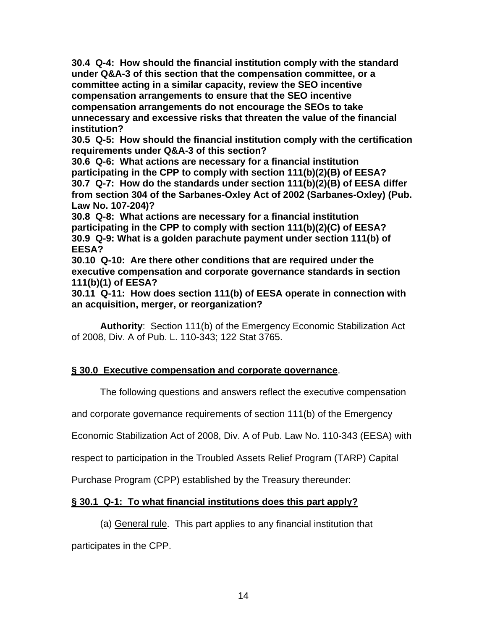**30.4 Q-4: How should the financial institution comply with the standard under Q&A-3 of this section that the compensation committee, or a committee acting in a similar capacity, review the SEO incentive compensation arrangements to ensure that the SEO incentive compensation arrangements do not encourage the SEOs to take unnecessary and excessive risks that threaten the value of the financial institution?** 

**30.5 Q-5: How should the financial institution comply with the certification requirements under Q&A-3 of this section?** 

**30.6 Q-6: What actions are necessary for a financial institution participating in the CPP to comply with section 111(b)(2)(B) of EESA? 30.7 Q-7: How do the standards under section 111(b)(2)(B) of EESA differ from section 304 of the Sarbanes-Oxley Act of 2002 (Sarbanes-Oxley) (Pub. Law No. 107-204)?** 

**30.8 Q-8: What actions are necessary for a financial institution participating in the CPP to comply with section 111(b)(2)(C) of EESA? 30.9 Q-9: What is a golden parachute payment under section 111(b) of EESA?** 

**30.10 Q-10: Are there other conditions that are required under the executive compensation and corporate governance standards in section 111(b)(1) of EESA?** 

**30.11 Q-11: How does section 111(b) of EESA operate in connection with an acquisition, merger, or reorganization?** 

**Authority**: Section 111(b) of the Emergency Economic Stabilization Act of 2008, Div. A of Pub. L. 110-343; 122 Stat 3765.

### **§ 30.0 Executive compensation and corporate governance**.

The following questions and answers reflect the executive compensation

and corporate governance requirements of section 111(b) of the Emergency

Economic Stabilization Act of 2008, Div. A of Pub. Law No. 110-343 (EESA) with

respect to participation in the Troubled Assets Relief Program (TARP) Capital

Purchase Program (CPP) established by the Treasury thereunder:

### **§ 30.1 Q-1: To what financial institutions does this part apply?**

#### (a) General rule. This part applies to any financial institution that

participates in the CPP.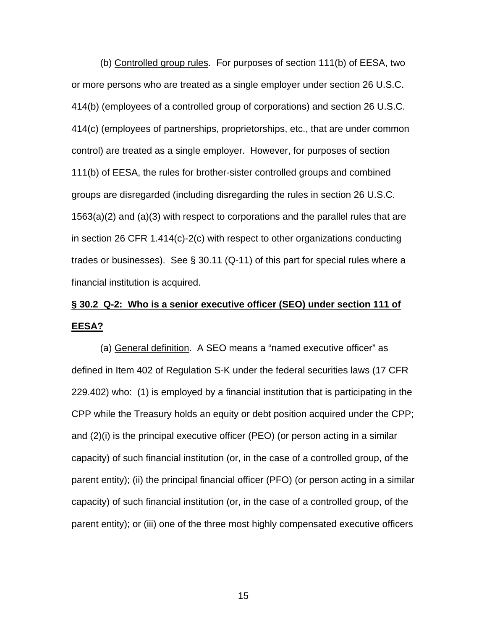(b) Controlled group rules. For purposes of section 111(b) of EESA, two or more persons who are treated as a single employer under section 26 U.S.C. 414(b) (employees of a controlled group of corporations) and section 26 U.S.C. 414(c) (employees of partnerships, proprietorships, etc., that are under common control) are treated as a single employer. However, for purposes of section 111(b) of EESA, the rules for brother-sister controlled groups and combined groups are disregarded (including disregarding the rules in section 26 U.S.C. 1563(a)(2) and (a)(3) with respect to corporations and the parallel rules that are in section 26 CFR 1.414(c)-2(c) with respect to other organizations conducting trades or businesses). See § 30.11 (Q-11) of this part for special rules where a financial institution is acquired.

### **§ 30.2 Q-2: Who is a senior executive officer (SEO) under section 111 of EESA?**

(a) General definition. A SEO means a "named executive officer" as defined in Item 402 of Regulation S-K under the federal securities laws (17 CFR 229.402) who: (1) is employed by a financial institution that is participating in the CPP while the Treasury holds an equity or debt position acquired under the CPP; and (2)(i) is the principal executive officer (PEO) (or person acting in a similar capacity) of such financial institution (or, in the case of a controlled group, of the parent entity); (ii) the principal financial officer (PFO) (or person acting in a similar capacity) of such financial institution (or, in the case of a controlled group, of the parent entity); or (iii) one of the three most highly compensated executive officers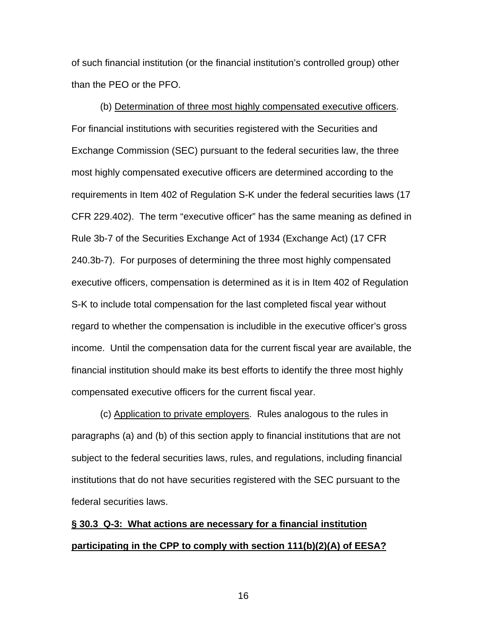of such financial institution (or the financial institution's controlled group) other than the PEO or the PFO.

(b) Determination of three most highly compensated executive officers. For financial institutions with securities registered with the Securities and Exchange Commission (SEC) pursuant to the federal securities law, the three most highly compensated executive officers are determined according to the requirements in Item 402 of Regulation S-K under the federal securities laws (17 CFR 229.402). The term "executive officer" has the same meaning as defined in Rule 3b-7 of the Securities Exchange Act of 1934 (Exchange Act) (17 CFR 240.3b-7). For purposes of determining the three most highly compensated executive officers, compensation is determined as it is in Item 402 of Regulation S-K to include total compensation for the last completed fiscal year without regard to whether the compensation is includible in the executive officer's gross income. Until the compensation data for the current fiscal year are available, the financial institution should make its best efforts to identify the three most highly compensated executive officers for the current fiscal year.

(c) Application to private employers. Rules analogous to the rules in paragraphs (a) and (b) of this section apply to financial institutions that are not subject to the federal securities laws, rules, and regulations, including financial institutions that do not have securities registered with the SEC pursuant to the federal securities laws.

## **§ 30.3 Q-3: What actions are necessary for a financial institution participating in the CPP to comply with section 111(b)(2)(A) of EESA?**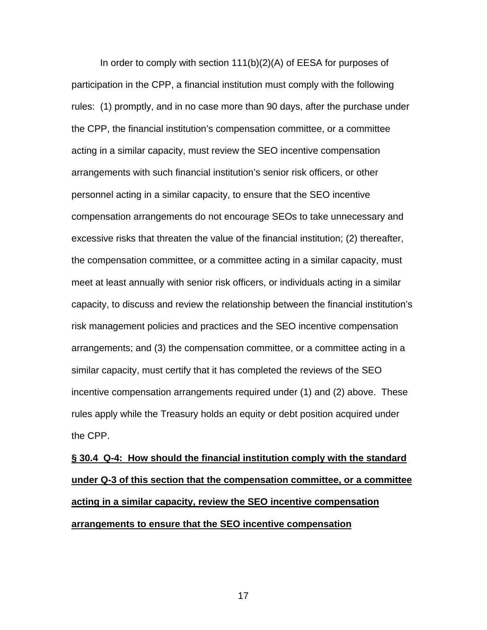In order to comply with section 111(b)(2)(A) of EESA for purposes of participation in the CPP, a financial institution must comply with the following rules: (1) promptly, and in no case more than 90 days, after the purchase under the CPP, the financial institution's compensation committee, or a committee acting in a similar capacity, must review the SEO incentive compensation arrangements with such financial institution's senior risk officers, or other personnel acting in a similar capacity, to ensure that the SEO incentive compensation arrangements do not encourage SEOs to take unnecessary and excessive risks that threaten the value of the financial institution; (2) thereafter, the compensation committee, or a committee acting in a similar capacity, must meet at least annually with senior risk officers, or individuals acting in a similar capacity, to discuss and review the relationship between the financial institution's risk management policies and practices and the SEO incentive compensation arrangements; and (3) the compensation committee, or a committee acting in a similar capacity, must certify that it has completed the reviews of the SEO incentive compensation arrangements required under (1) and (2) above. These rules apply while the Treasury holds an equity or debt position acquired under the CPP.

**§ 30.4 Q-4: How should the financial institution comply with the standard under Q-3 of this section that the compensation committee, or a committee acting in a similar capacity, review the SEO incentive compensation arrangements to ensure that the SEO incentive compensation**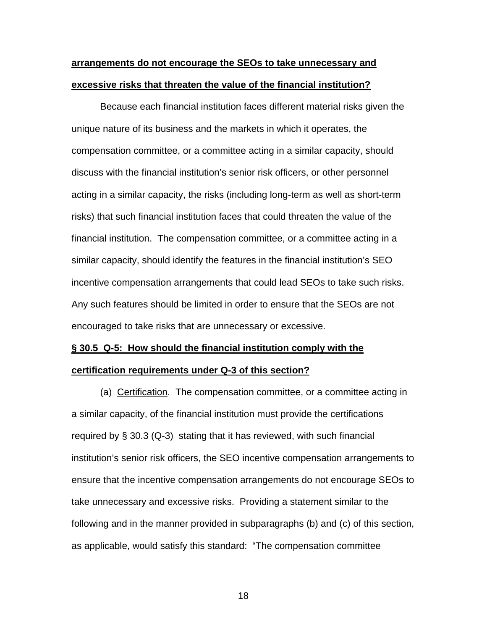### **arrangements do not encourage the SEOs to take unnecessary and excessive risks that threaten the value of the financial institution?**

Because each financial institution faces different material risks given the unique nature of its business and the markets in which it operates, the compensation committee, or a committee acting in a similar capacity, should discuss with the financial institution's senior risk officers, or other personnel acting in a similar capacity, the risks (including long-term as well as short-term risks) that such financial institution faces that could threaten the value of the financial institution. The compensation committee, or a committee acting in a similar capacity, should identify the features in the financial institution's SEO incentive compensation arrangements that could lead SEOs to take such risks. Any such features should be limited in order to ensure that the SEOs are not encouraged to take risks that are unnecessary or excessive.

# **§ 30.5 Q-5: How should the financial institution comply with the**

#### **certification requirements under Q-3 of this section?**

(a) Certification. The compensation committee, or a committee acting in a similar capacity, of the financial institution must provide the certifications required by § 30.3 (Q-3) stating that it has reviewed, with such financial institution's senior risk officers, the SEO incentive compensation arrangements to ensure that the incentive compensation arrangements do not encourage SEOs to take unnecessary and excessive risks. Providing a statement similar to the following and in the manner provided in subparagraphs (b) and (c) of this section, as applicable, would satisfy this standard: "The compensation committee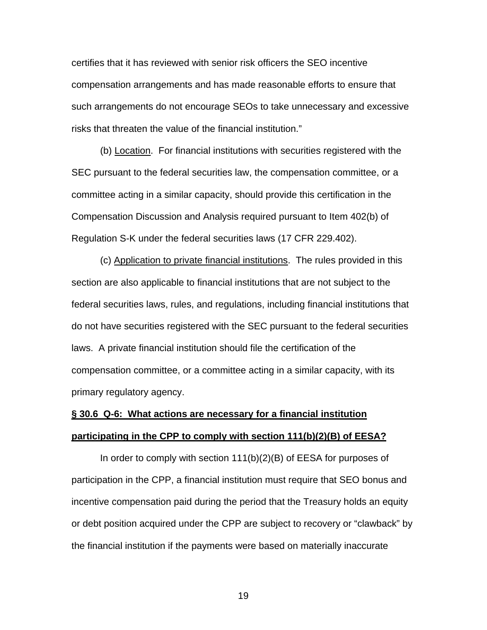certifies that it has reviewed with senior risk officers the SEO incentive compensation arrangements and has made reasonable efforts to ensure that such arrangements do not encourage SEOs to take unnecessary and excessive risks that threaten the value of the financial institution."

(b) Location. For financial institutions with securities registered with the SEC pursuant to the federal securities law, the compensation committee, or a committee acting in a similar capacity, should provide this certification in the Compensation Discussion and Analysis required pursuant to Item 402(b) of Regulation S-K under the federal securities laws (17 CFR 229.402).

(c) Application to private financial institutions. The rules provided in this section are also applicable to financial institutions that are not subject to the federal securities laws, rules, and regulations, including financial institutions that do not have securities registered with the SEC pursuant to the federal securities laws. A private financial institution should file the certification of the compensation committee, or a committee acting in a similar capacity, with its primary regulatory agency.

## **§ 30.6 Q-6: What actions are necessary for a financial institution participating in the CPP to comply with section 111(b)(2)(B) of EESA?**

In order to comply with section 111(b)(2)(B) of EESA for purposes of participation in the CPP, a financial institution must require that SEO bonus and incentive compensation paid during the period that the Treasury holds an equity or debt position acquired under the CPP are subject to recovery or "clawback" by the financial institution if the payments were based on materially inaccurate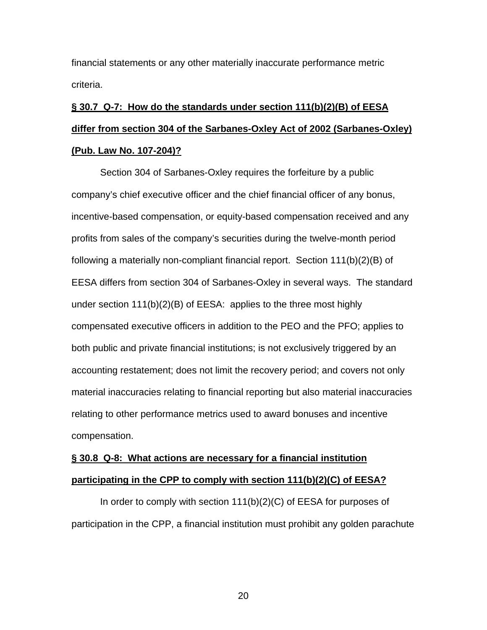financial statements or any other materially inaccurate performance metric criteria.

# **§ 30.7 Q-7: How do the standards under section 111(b)(2)(B) of EESA differ from section 304 of the Sarbanes-Oxley Act of 2002 (Sarbanes-Oxley) (Pub. Law No. 107-204)?**

Section 304 of Sarbanes-Oxley requires the forfeiture by a public company's chief executive officer and the chief financial officer of any bonus, incentive-based compensation, or equity-based compensation received and any profits from sales of the company's securities during the twelve-month period following a materially non-compliant financial report. Section 111(b)(2)(B) of EESA differs from section 304 of Sarbanes-Oxley in several ways. The standard under section 111(b)(2)(B) of EESA: applies to the three most highly compensated executive officers in addition to the PEO and the PFO; applies to both public and private financial institutions; is not exclusively triggered by an accounting restatement; does not limit the recovery period; and covers not only material inaccuracies relating to financial reporting but also material inaccuracies relating to other performance metrics used to award bonuses and incentive compensation.

## **§ 30.8 Q-8: What actions are necessary for a financial institution participating in the CPP to comply with section 111(b)(2)(C) of EESA?**

In order to comply with section 111(b)(2)(C) of EESA for purposes of participation in the CPP, a financial institution must prohibit any golden parachute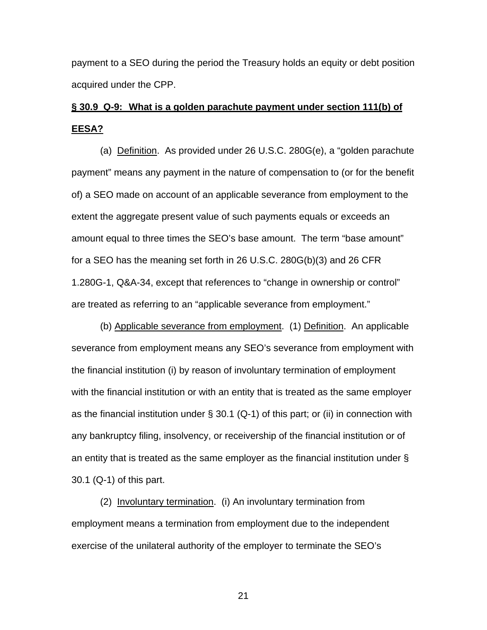payment to a SEO during the period the Treasury holds an equity or debt position acquired under the CPP.

# **§ 30.9 Q-9: What is a golden parachute payment under section 111(b) of EESA?**

(a) Definition. As provided under 26 U.S.C. 280G(e), a "golden parachute payment" means any payment in the nature of compensation to (or for the benefit of) a SEO made on account of an applicable severance from employment to the extent the aggregate present value of such payments equals or exceeds an amount equal to three times the SEO's base amount. The term "base amount" for a SEO has the meaning set forth in 26 U.S.C. 280G(b)(3) and 26 CFR 1.280G-1, Q&A-34, except that references to "change in ownership or control" are treated as referring to an "applicable severance from employment."

(b) Applicable severance from employment. (1) Definition. An applicable severance from employment means any SEO's severance from employment with the financial institution (i) by reason of involuntary termination of employment with the financial institution or with an entity that is treated as the same employer as the financial institution under § 30.1 (Q-1) of this part; or (ii) in connection with any bankruptcy filing, insolvency, or receivership of the financial institution or of an entity that is treated as the same employer as the financial institution under § 30.1 (Q-1) of this part.

(2) Involuntary termination. (i) An involuntary termination from employment means a termination from employment due to the independent exercise of the unilateral authority of the employer to terminate the SEO's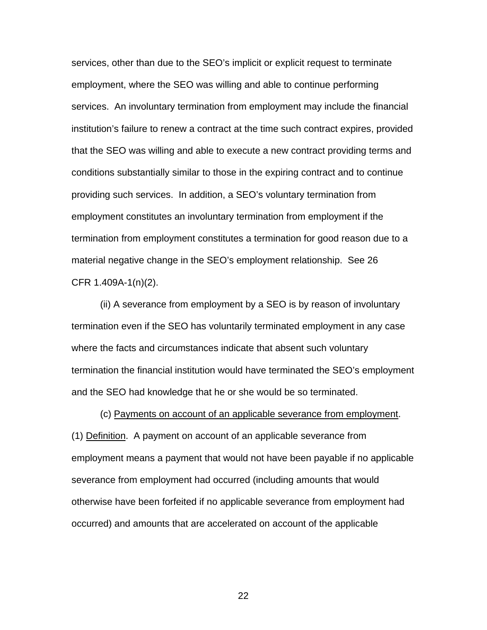services, other than due to the SEO's implicit or explicit request to terminate employment, where the SEO was willing and able to continue performing services. An involuntary termination from employment may include the financial institution's failure to renew a contract at the time such contract expires, provided that the SEO was willing and able to execute a new contract providing terms and conditions substantially similar to those in the expiring contract and to continue providing such services. In addition, a SEO's voluntary termination from employment constitutes an involuntary termination from employment if the termination from employment constitutes a termination for good reason due to a material negative change in the SEO's employment relationship. See 26 CFR 1.409A-1(n)(2).

(ii) A severance from employment by a SEO is by reason of involuntary termination even if the SEO has voluntarily terminated employment in any case where the facts and circumstances indicate that absent such voluntary termination the financial institution would have terminated the SEO's employment and the SEO had knowledge that he or she would be so terminated.

(c) Payments on account of an applicable severance from employment. (1) Definition. A payment on account of an applicable severance from employment means a payment that would not have been payable if no applicable severance from employment had occurred (including amounts that would otherwise have been forfeited if no applicable severance from employment had occurred) and amounts that are accelerated on account of the applicable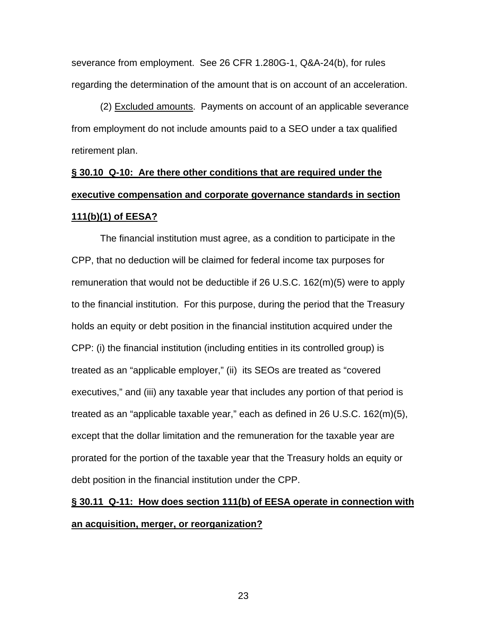severance from employment. See 26 CFR 1.280G-1, Q&A-24(b), for rules regarding the determination of the amount that is on account of an acceleration.

(2) Excluded amounts. Payments on account of an applicable severance from employment do not include amounts paid to a SEO under a tax qualified retirement plan.

# **§ 30.10 Q-10: Are there other conditions that are required under the executive compensation and corporate governance standards in section 111(b)(1) of EESA?**

The financial institution must agree, as a condition to participate in the CPP, that no deduction will be claimed for federal income tax purposes for remuneration that would not be deductible if 26 U.S.C. 162(m)(5) were to apply to the financial institution. For this purpose, during the period that the Treasury holds an equity or debt position in the financial institution acquired under the CPP: (i) the financial institution (including entities in its controlled group) is treated as an "applicable employer," (ii) its SEOs are treated as "covered executives," and (iii) any taxable year that includes any portion of that period is treated as an "applicable taxable year," each as defined in 26 U.S.C. 162(m)(5), except that the dollar limitation and the remuneration for the taxable year are prorated for the portion of the taxable year that the Treasury holds an equity or debt position in the financial institution under the CPP.

# **§ 30.11 Q-11: How does section 111(b) of EESA operate in connection with an acquisition, merger, or reorganization?**